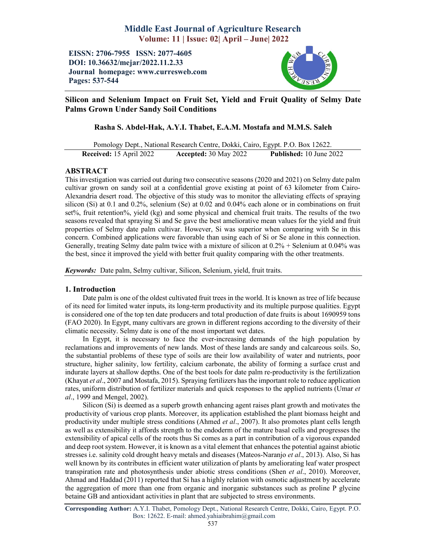# Middle East Journal of Agriculture Research Volume: 11 | Issue: 02| April – June| 2022

EISSN: 2706-7955 ISSN: 2077-4605 DOI: 10.36632/mejar/2022.11.2.33 Journal homepage: www.curresweb.com Pages: 537-544



## Silicon and Selenium Impact on Fruit Set, Yield and Fruit Quality of Selmy Date Palms Grown Under Sandy Soil Conditions

## Rasha S. Abdel-Hak, A.Y.I. Thabet, E.A.M. Mostafa and M.M.S. Saleh

Pomology Dept., National Research Centre, Dokki, Cairo, Egypt. P.O. Box 12622. Received: 15 April 2022 Accepted: 30 May 2022 Published: 10 June 2022

## ABSTRACT

This investigation was carried out during two consecutive seasons (2020 and 2021) on Selmy date palm cultivar grown on sandy soil at a confidential grove existing at point of 63 kilometer from Cairo-Alexandria desert road. The objective of this study was to monitor the alleviating effects of spraying silicon (Si) at 0.1 and 0.2%, selenium (Se) at 0.02 and 0.04% each alone or in combinations on fruit set%, fruit retention%, yield (kg) and some physical and chemical fruit traits. The results of the two seasons revealed that spraying Si and Se gave the best ameliorative mean values for the yield and fruit properties of Selmy date palm cultivar. However, Si was superior when comparing with Se in this concern. Combined applications were favorable than using each of Si or Se alone in this connection. Generally, treating Selmy date palm twice with a mixture of silicon at  $0.2\%$  + Selenium at  $0.04\%$  was the best, since it improved the yield with better fruit quality comparing with the other treatments.

*Keywords:* Date palm, Selmy cultivar, Silicon, Selenium, yield, fruit traits.

## 1. Introduction

Date palm is one of the oldest cultivated fruit trees in the world. It is known as tree of life because of its need for limited water inputs, its long-term productivity and its multiple purpose qualities. Egypt is considered one of the top ten date producers and total production of date fruits is about 1690959 tons (FAO 2020). In Egypt, many cultivars are grown in different regions according to the diversity of their climatic necessity. Selmy date is one of the most important wet dates.

In Egypt, it is necessary to face the ever-increasing demands of the high population by reclamations and improvements of new lands. Most of these lands are sandy and calcareous soils. So, the substantial problems of these type of soils are their low availability of water and nutrients, poor structure, higher salinity, low fertility, calcium carbonate, the ability of forming a surface crust and indurate layers at shallow depths. One of the best tools for date palm re-productivity is the fertilization (Khayat *et al*., 2007 and Mostafa, 2015). Spraying fertilizers has the important role to reduce application rates, uniform distribution of fertilizer materials and quick responses to the applied nutrients (Umar *et al*., 1999 and Mengel, 2002).

Silicon (Si) is deemed as a superb growth enhancing agent raises plant growth and motivates the productivity of various crop plants. Moreover, its application established the plant biomass height and productivity under multiple stress conditions (Ahmed *et al*., 2007). It also promotes plant cells length as well as extensibility it affords strength to the endoderm of the mature basal cells and progresses the extensibility of apical cells of the roots thus Si comes as a part in contribution of a vigorous expanded and deep root system. However, it is known as a vital element that enhances the potential against abiotic stresses i.e. salinity cold drought heavy metals and diseases (Mateos-Naranjo *et al*., 2013). Also, Si has well known by its contributes in efficient water utilization of plants by ameliorating leaf water prospect transpiration rate and photosynthesis under abiotic stress conditions (Shen *et al*., 2010). Moreover, Ahmad and Haddad (2011) reported that Si has a highly relation with osmotic adjustment by accelerate the aggregation of more than one from organic and inorganic substances such as proline P glycine betaine GB and antioxidant activities in plant that are subjected to stress environments.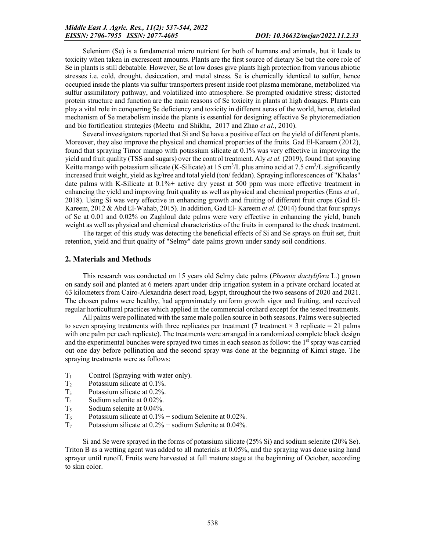Selenium (Se) is a fundamental micro nutrient for both of humans and animals, but it leads to toxicity when taken in excrescent amounts. Plants are the first source of dietary Se but the core role of Se in plants is still debatable. However, Se at low doses give plants high protection from various abiotic stresses i.e. cold, drought, desiccation, and metal stress. Se is chemically identical to sulfur, hence occupied inside the plants via sulfur transporters present inside root plasma membrane, metabolized via sulfur assimilatory pathway, and volatilized into atmosphere. Se prompted oxidative stress; distorted protein structure and function are the main reasons of Se toxicity in plants at high dosages. Plants can play a vital role in conquering Se deficiency and toxicity in different aeras of the world, hence, detailed mechanism of Se metabolism inside the plants is essential for designing effective Se phytoremediation and bio fortification strategies (Meetu and Shikha, 2017 and Zhao *et al*., 2010).

Several investigators reported that Si and Se have a positive effect on the yield of different plants. Moreover, they also improve the physical and chemical properties of the fruits. Gad El-Kareem (2012), found that spraying Timor mango with potassium silicate at 0.1% was very effective in improving the yield and fruit quality (TSS and sugars) over the control treatment. Aly *et al.* (2019), found that spraying Keitte mango with potassium silicate (K-Silicate) at 15 cm<sup>3</sup>/L plus amino acid at 7.5 cm<sup>3</sup>/L significantly increased fruit weight, yield as kg/tree and total yield (ton/ feddan). Spraying inflorescences of "Khalas" date palms with K-Silicate at 0.1%+ active dry yeast at 500 ppm was more effective treatment in enhancing the yield and improving fruit quality as well as physical and chemical properties (Enas *et al.*, 2018). Using Si was very effective in enhancing growth and fruiting of different fruit crops (Gad El-Kareem, 2012 & Abd El-Wahab, 2015). In addition, Gad El- Kareem *et al.* (2014) found that four sprays of Se at 0.01 and 0.02% on Zaghloul date palms were very effective in enhancing the yield, bunch weight as well as physical and chemical characteristics of the fruits in compared to the check treatment.

The target of this study was detecting the beneficial effects of Si and Se sprays on fruit set, fruit retention, yield and fruit quality of "Selmy" date palms grown under sandy soil conditions.

#### 2. Materials and Methods

This research was conducted on 15 years old Selmy date palms (*Phoenix dactylifera* L.) grown on sandy soil and planted at 6 meters apart under drip irrigation system in a private orchard located at 63 kilometers from Cairo-Alexandria desert road, Egypt, throughout the two seasons of 2020 and 2021. The chosen palms were healthy, had approximately uniform growth vigor and fruiting, and received regular horticultural practices which applied in the commercial orchard except for the tested treatments.

All palms were pollinated with the same male pollen source in both seasons. Palms were subjected to seven spraying treatments with three replicates per treatment (7 treatment  $\times$  3 replicate = 21 palms with one palm per each replicate). The treatments were arranged in a randomized complete block design and the experimental bunches were sprayed two times in each season as follow: the 1<sup>st</sup> spray was carried out one day before pollination and the second spray was done at the beginning of Kimri stage. The spraying treatments were as follows:

- $T_1$  Control (Spraying with water only).
- $T_2$  Potassium silicate at 0.1%.
- $T_3$  Potassium silicate at 0.2%.
- T4 Sodium selenite at 0.02%.
- T5 Sodium selenite at 0.04%.
- $T_6$  Potassium silicate at  $0.1\%$  + sodium Selenite at 0.02%.
- $T_7$  Potassium silicate at  $0.2\%$  + sodium Selenite at 0.04%.

Si and Se were sprayed in the forms of potassium silicate (25% Si) and sodium selenite (20% Se). Triton B as a wetting agent was added to all materials at 0.05%, and the spraying was done using hand sprayer until runoff. Fruits were harvested at full mature stage at the beginning of October, according to skin color.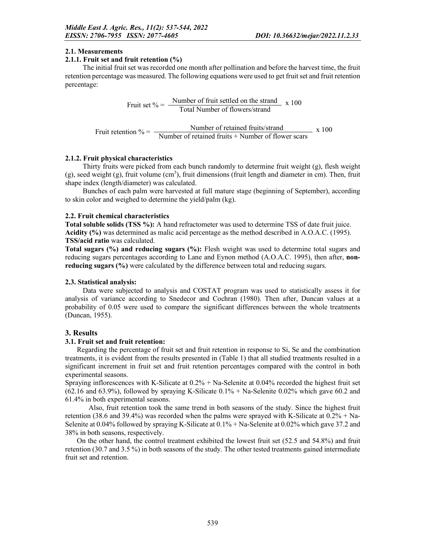## 2.1. Measurements

### 2.1.1. Fruit set and fruit retention (%)

The initial fruit set was recorded one month after pollination and before the harvest time, the fruit retention percentage was measured. The following equations were used to get fruit set and fruit retention percentage:

Fruit set  $% = \frac{\text{Number of fruit settled on the strand}}{\text{Total Number of flowers/strand}}$  x 100

Fruit retention  $\% = \frac{\text{Number of retained fruits/strand}}{\text{Number of retained fruits} + \text{Number of flower scans}} \times 100$ 

## 2.1.2. Fruit physical characteristics

Thirty fruits were picked from each bunch randomly to determine fruit weight (g), flesh weight  $(g)$ , seed weight  $(g)$ , fruit volume  $(cm<sup>3</sup>)$ , fruit dimensions (fruit length and diameter in cm). Then, fruit shape index (length/diameter) was calculated.

Bunches of each palm were harvested at full mature stage (beginning of September), according to skin color and weighed to determine the yield/palm (kg).

## 2.2. Fruit chemical characteristics

Total soluble solids (TSS %): A hand refractometer was used to determine TSS of date fruit juice. Acidity (%) was determined as malic acid percentage as the method described in A.O.A.C. (1995). TSS/acid ratio was calculated.

Total sugars (%) and reducing sugars (%): Flesh weight was used to determine total sugars and reducing sugars percentages according to Lane and Eynon method (A.O.A.C. 1995), then after, **non**reducing sugars (%) were calculated by the difference between total and reducing sugars.

#### 2.3. Statistical analysis:

Data were subjected to analysis and COSTAT program was used to statistically assess it for analysis of variance according to Snedecor and Cochran (1980). Then after, Duncan values at a probability of 0.05 were used to compare the significant differences between the whole treatments (Duncan, 1955).

## 3. Results

#### 3.1. Fruit set and fruit retention:

Regarding the percentage of fruit set and fruit retention in response to Si, Se and the combination treatments, it is evident from the results presented in (Table 1) that all studied treatments resulted in a significant increment in fruit set and fruit retention percentages compared with the control in both experimental seasons.

Spraying inflorescences with K-Silicate at 0.2% + Na-Selenite at 0.04% recorded the highest fruit set (62.16 and 63.9%), followed by spraying K-Silicate 0.1% + Na-Selenite 0.02% which gave 60.2 and 61.4% in both experimental seasons.

Also, fruit retention took the same trend in both seasons of the study. Since the highest fruit retention (38.6 and 39.4%) was recorded when the palms were sprayed with K-Silicate at 0.2% + Na-Selenite at 0.04% followed by spraying K-Silicate at 0.1% + Na-Selenite at 0.02% which gave 37.2 and 38% in both seasons, respectively.

On the other hand, the control treatment exhibited the lowest fruit set (52.5 and 54.8%) and fruit retention (30.7 and 3.5 %) in both seasons of the study. The other tested treatments gained intermediate fruit set and retention.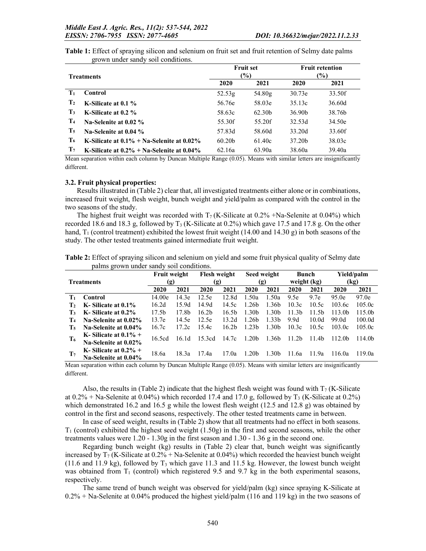| Table 1: Effect of spraying silicon and selenium on fruit set and fruit retention of Selmy date palms |  |  |
|-------------------------------------------------------------------------------------------------------|--|--|
| grown under sandy soil conditions.                                                                    |  |  |

|                   |                                              |                    | <b>Fruit set</b>   |        | <b>Fruit retention</b> |
|-------------------|----------------------------------------------|--------------------|--------------------|--------|------------------------|
| <b>Treatments</b> |                                              |                    | $\frac{9}{0}$      |        | $(\%)$                 |
|                   |                                              | 2020               | 2021               | 2020   | 2021                   |
| $T_1$             | <b>Control</b>                               | 52.53 <sub>g</sub> | 54.80g             | 30.73e | 33.50f                 |
| $\mathbf{T}_2$    | K-Silicate at 0.1 %                          | 56.76e             | 58.03e             | 35.13c | 36.60d                 |
| $\mathbf{T}_3$    | K-Silicate at 0.2 %                          | 58.63c             | 62.30 <sub>b</sub> | 36.90b | 38.76b                 |
| T <sub>4</sub>    | Na-Selenite at 0.02 %                        | 55.30f             | 55.20f             | 32.53d | 34.50e                 |
| $\mathbf{T}_5$    | Na-Selenite at 0.04 %                        | 57.83d             | 58.60d             | 33.20d | 33.60f                 |
| $T_6$             | K-Silicate at $0.1\%$ + Na-Selenite at 0.02% | 60.20 <sub>b</sub> | 61.40c             | 37.20b | 38.03c                 |
| $\mathbf{T}_7$    | K-Silicate at $0.2\%$ + Na-Selenite at 0.04% | 62.16a             | 63.90a             | 38.60a | 39.40a                 |

Mean separation within each column by Duncan Multiple Range (0.05). Means with similar letters are insignificantly different.

#### 3.2. Fruit physical properties:

Results illustrated in (Table 2) clear that, all investigated treatments either alone or in combinations, increased fruit weight, flesh weight, bunch weight and yield/palm as compared with the control in the two seasons of the study.

The highest fruit weight was recorded with  $T_7$  (K-Silicate at 0.2% +Na-Selenite at 0.04%) which recorded 18.6 and 18.3 g, followed by  $T_3$  (K-Silicate at 0.2%) which gave 17.5 and 17.8 g. On the other hand,  $T_1$  (control treatment) exhibited the lowest fruit weight (14.00 and 14.30 g) in both seasons of the study. The other tested treatments gained intermediate fruit weight.

|                |                         |        | <b>Flesh weight</b><br><b>Fruit weight</b> |                   |                   | Seed weight       |                   | Bunch             |                   | Yield/palm         |                    |
|----------------|-------------------------|--------|--------------------------------------------|-------------------|-------------------|-------------------|-------------------|-------------------|-------------------|--------------------|--------------------|
|                | Treatments              | (g)    |                                            | (g)               |                   | (g)               |                   | weight (kg)       |                   | (kg)               |                    |
|                |                         | 2020   | 2021                                       | 2020              | 2021              | 2020              | 2021              | 2020              | 2021              | 2020               | 2021               |
| $\mathbf{T}_1$ | <b>Control</b>          | 14.00e | 14.3e                                      | 12.5e             | 12.8d             | 1.50a             | 1.50a             | 9.5e              | 9.7e              | 95.0e              | 97.0e              |
| T,             | K-Silicate at 0.1%      | 16.2d  | 15.9d                                      | 14.9d             | 14.5c             | 1.26 <sub>b</sub> | 1.36 <sub>b</sub> | 10.3c             | 10.5c             | 103.6c             | 105.0c             |
| T3             | K-Silicate at 0.2%      | 17.5b  | 17.8b                                      | 16.2 <sub>b</sub> | 16.5b             | 1.30 <sub>b</sub> | 1.30 <sub>b</sub> | 11.3 <sub>b</sub> | 11.5 <sub>b</sub> | 113.0 <sub>b</sub> | 115.0b             |
| T <sub>4</sub> | Na-Selenite at 0.02%    | 13.7e  | 14.5e                                      | 12.5e             | 13.2d             | 1.26 <sub>b</sub> | 1.33 <sub>b</sub> | 9.9d              | 10.0d             | 99.0d              | 100.0d             |
| Т,             | Na-Selenite at 0.04%    | 16.7c  | 17.2c                                      | 15.4c             | 16.2 <sub>b</sub> | 1.23 <sub>b</sub> | 1.30 <sub>b</sub> | 10.3c             | 10.5c             | 103.0c             | 105.0c             |
| T <sub>6</sub> | K-Silicate at $0.1\%$ + | 16.5cd | 16.1d                                      | 15.3cd            | 14.7c             | 1.20 <sub>b</sub> | 1.36 <sub>b</sub> | 11.2 <sub>b</sub> | 11.4b             | 112.0 <sub>b</sub> | 114.0 <sub>b</sub> |
|                | Na-Selenite at 0.02%    |        |                                            |                   |                   |                   |                   |                   |                   |                    |                    |
| T <sub>7</sub> | K-Silicate at $0.2\%$ + | 18.6a  | 18.3a                                      | 17.4a             | 17.0a             | 1.20 <sub>b</sub> | 1.30 <sub>b</sub> | 11.6a             | 11.9a             | 116.0a             | 119.0a             |
|                | Na-Selenite at 0.04%    |        |                                            |                   |                   |                   |                   |                   |                   |                    |                    |

Table 2: Effect of spraying silicon and selenium on yield and some fruit physical quality of Selmy date palms grown under sandy soil conditions.

Mean separation within each column by Duncan Multiple Range (0.05). Means with similar letters are insignificantly different.

Also, the results in (Table 2) indicate that the highest flesh weight was found with  $T_7$  (K-Silicate at  $0.2\%$  + Na-Selenite at  $0.04\%$ ) which recorded 17.4 and 17.0 g, followed by T<sub>3</sub> (K-Silicate at 0.2%) which demonstrated 16.2 and 16.5 g while the lowest flesh weight (12.5 and 12.8 g) was obtained by control in the first and second seasons, respectively. The other tested treatments came in between.

In case of seed weight, results in (Table 2) show that all treatments had no effect in both seasons.  $T_1$  (control) exhibited the highest seed weight (1.50g) in the first and second seasons, while the other treatments values were 1.20 - 1.30g in the first season and 1.30 - 1.36 g in the second one.

Regarding bunch weight (kg) results in (Table 2) clear that, bunch weight was significantly increased by  $T_7$  (K-Silicate at  $0.2\%$  + Na-Selenite at 0.04%) which recorded the heaviest bunch weight  $(11.6$  and  $11.9$  kg), followed by T<sub>3</sub> which gave 11.3 and 11.5 kg. However, the lowest bunch weight was obtained from  $T_1$  (control) which registered 9.5 and 9.7 kg in the both experimental seasons, respectively.

The same trend of bunch weight was observed for yield/palm (kg) since spraying K-Silicate at 0.2% + Na-Selenite at 0.04% produced the highest yield/palm (116 and 119 kg) in the two seasons of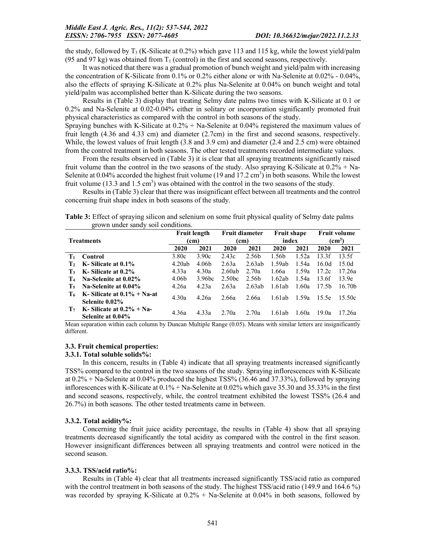the study, followed by  $T_3$  (K-Silicate at 0.2%) which gave 113 and 115 kg, while the lowest yield/palm (95 and 97 kg) was obtained from  $T_1$  (control) in the first and second seasons, respectively.

It was noticed that there was a gradual promotion of bunch weight and yield/palm with increasing the concentration of K-Silicate from 0.1% or 0.2% either alone or with Na-Selenite at 0.02% - 0.04%, also the effects of spraying K-Silicate at 0.2% plus Na-Selenite at 0.04% on bunch weight and total yield/palm was accomplished better than K-Silicate during the two seasons.

Results in (Table 3) display that treating Selmy date palms two times with K-Silicate at 0.1 or 0.2% and Na-Selenite at 0.02-0.04% either in solitary or incorporation significantly promoted fruit physical characteristics as compared with the control in both seasons of the study.

Spraying bunches with K-Silicate at 0.2% + Na-Selenite at 0.04% registered the maximum values of fruit length (4.36 and 4.33 cm) and diameter (2.7cm) in the first and second seasons, respectively. While, the lowest values of fruit length (3.8 and 3.9 cm) and diameter (2.4 and 2.5 cm) were obtained from the control treatment in both seasons. The other tested treatments recorded intermediate values.

From the results observed in (Table 3) it is clear that all spraying treatments significantly raised fruit volume than the control in the two seasons of the study. Also spraying K-Silicate at  $0.2\%$  + Na-Selenite at  $0.04\%$  accorded the highest fruit volume (19 and 17.2 cm<sup>3</sup>) in both seasons. While the lowest fruit volume  $(13.3 \text{ and } 1.5 \text{ cm}^3)$  was obtained with the control in the two seasons of the study.

Results in (Table 3) clear that there was insignificant effect between all treatments and the control concerning fruit shape index in both seasons of the study.

| Table 3: Effect of spraying silicon and selenium on some fruit physical quality of Selmy date palms |  |  |
|-----------------------------------------------------------------------------------------------------|--|--|
| grown under sandy soil conditions.                                                                  |  |  |

|                |                                | <b>Fruit length</b> |                    | <b>Fruit diameter</b> |                   | <b>Fruit shape</b> |       | <b>Fruit volume</b> |                    |  |
|----------------|--------------------------------|---------------------|--------------------|-----------------------|-------------------|--------------------|-------|---------------------|--------------------|--|
|                | <b>Treatments</b>              |                     | (cm)               |                       | (cm)              |                    | index |                     | $\text{cm}^3$      |  |
|                |                                | 2020                | 2021               | 2020                  | 2021              | 2020               | 2021  | 2020                | 2021               |  |
| $T_1$          | Control                        | 3.80c               | 3.90c              | 2.43c                 | 2.56b             | 1.56b              | 1.52a | 13.3f               | 13.5f              |  |
| $\mathbf{T}_2$ | K-Silicate at 0.1%             | 4.20ab              | 4.06b              | 2.63a                 | 2.63ab            | 1.59ab             | 1.54a | 16.0d               | 15.0 <sub>d</sub>  |  |
| $T_{3}$        | K-Silicate at 0.2%             | 4.33a               | 4.30a              | 2.60ab                | 2.70a             | 1.66a              | 1.59a | 17.2c               | 17.26a             |  |
| T <sub>4</sub> | Na-Selenite at 0.02%           | 4.06b               | 3.96 <sub>bc</sub> | 2.50 <sub>bc</sub>    | 2.56 <sub>b</sub> | 1.62ab             | 1.54a | 13.6f               | 13.9e              |  |
| $T_{5}$        | Na-Selenite at 0.04%           | 4.26a               | 4.23a              | 2.63a                 | 2.63ab            | 1.61ab             | 1.60a | 17.5 <sub>b</sub>   | 16.70 <sub>b</sub> |  |
| T6             | K-Silicate at $0.1\% + Na$ -at | 4.30a               | 4.26a              | 2.66a                 | 2.66a             | 1.61ab             | 1.59a | 15.5e               | 15.50c             |  |
|                | Selenite 0.02%                 |                     |                    |                       |                   |                    |       |                     |                    |  |
| T <sub>7</sub> | K-Silicate at $0.2\% + Na$ -   | 4.36a               | 4.33a              | 2.70a                 | 2.70a             | 1.61ab             | 1.60a | 19.0a               | 17.26a             |  |
|                | Selenite at 0.04%              |                     |                    |                       |                   |                    |       |                     |                    |  |

Mean separation within each column by Duncan Multiple Range (0.05). Means with similar letters are insignificantly different.

#### 3.3. Fruit chemical properties:

#### 3.3.1. Total soluble solids%:

In this concern, results in (Table 4) indicate that all spraying treatments increased significantly TSS% compared to the control in the two seasons of the study. Spraying inflorescences with K-Silicate at 0.2% + Na-Selenite at 0.04% produced the highest TSS% (36.46 and 37.33%), followed by spraying inflorescences with K-Silicate at 0.1% + Na-Selenite at 0.02% which gave 35.30 and 35.33% in the first and second seasons, respectively, while, the control treatment exhibited the lowest TSS% (26.4 and 26.7%) in both seasons. The other tested treatments came in between.

#### 3.3.2. Total acidity%:

Concerning the fruit juice acidity percentage, the results in (Table 4) show that all spraying treatments decreased significantly the total acidity as compared with the control in the first season. However insignificant differences between all spraying treatments and control were noticed in the second season.

#### 3.3.3. TSS/acid ratio%:

Results in (Table 4) clear that all treatments increased significantly TSS/acid ratio as compared with the control treatment in both seasons of the study. The highest TSS/acid ratio (149.9 and 164.6 %) was recorded by spraying K-Silicate at  $0.2\%$  + Na-Selenite at  $0.04\%$  in both seasons, followed by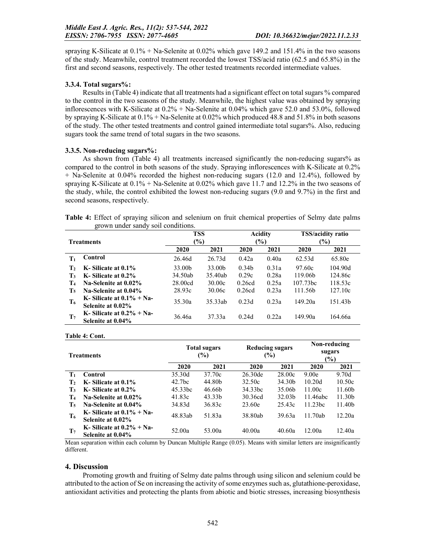spraying K-Silicate at 0.1% + Na-Selenite at 0.02% which gave 149.2 and 151.4% in the two seasons of the study. Meanwhile, control treatment recorded the lowest TSS/acid ratio (62.5 and 65.8%) in the first and second seasons, respectively. The other tested treatments recorded intermediate values.

### 3.3.4. Total sugars%:

Results in (Table 4) indicate that all treatments had a significant effect on total sugars % compared to the control in the two seasons of the study. Meanwhile, the highest value was obtained by spraying inflorescences with K-Silicate at 0.2% + Na-Selenite at 0.04% which gave 52.0 and 53.0%, followed by spraying K-Silicate at 0.1% + Na-Selenite at 0.02% which produced 48.8 and 51.8% in both seasons of the study. The other tested treatments and control gained intermediate total sugars%. Also, reducing sugars took the same trend of total sugars in the two seasons.

## 3.3.5. Non-reducing sugars%:

As shown from (Table 4) all treatments increased significantly the non-reducing sugars% as compared to the control in both seasons of the study. Spraying inflorescences with K-Silicate at 0.2% + Na-Selenite at 0.04% recorded the highest non-reducing sugars (12.0 and 12.4%), followed by spraying K-Silicate at  $0.1\%$  + Na-Selenite at  $0.02\%$  which gave 11.7 and 12.2% in the two seasons of the study, while, the control exhibited the lowest non-reducing sugars (9.0 and 9.7%) in the first and second seasons, respectively.

|  | Table 4: Effect of spraying silicon and selenium on fruit chemical properties of Selmy date palms |  |  |  |  |  |  |
|--|---------------------------------------------------------------------------------------------------|--|--|--|--|--|--|
|  | grown under sandy soil conditions.                                                                |  |  |  |  |  |  |

|                |                                                   | <b>TSS</b>    |         |                   | Acidity | TSS/acidity ratio    |         |  |
|----------------|---------------------------------------------------|---------------|---------|-------------------|---------|----------------------|---------|--|
|                | <b>Treatments</b>                                 | $\frac{6}{2}$ |         |                   | $(\%)$  | (%)                  |         |  |
|                |                                                   | 2020          | 2021    | 2020              | 2021    | 2020                 | 2021    |  |
| $T_1$          | Control                                           | 26.46d        | 26.73d  | 0.42a             | 0.40a   | 62.53d               | 65.80e  |  |
| $\mathbf{T}_2$ | K-Silicate at 0.1%                                | 33.00b        | 33.00b  | 0.34 <sub>b</sub> | 0.31a   | 97.60c               | 104.90d |  |
| $T_3$          | K-Silicate at 0.2%                                | 34.50ab       | 35.40ab | 0.29c             | 0.28a   | 119.06b              | 124.86c |  |
| T <sub>4</sub> | Na-Selenite at 0.02%                              | 28.00cd       | 30.00c  | 0.26cd            | 0.25a   | 107.73 <sub>bc</sub> | 118.53c |  |
| $T_{5}$        | Na-Selenite at 0.04%                              | 28.93c        | 30.06c  | 0.26cd            | 0.23a   | 111.56b              | 127.10c |  |
| T <sub>6</sub> | K-Silicate at $0.1\% + Na$ -<br>Selenite at 0.02% | 35.30a        | 35.33ab | 0.23d             | 0.23a   | 149.20a              | 151.43b |  |
| $\mathbf{T}_7$ | K-Silicate at $0.2\% + Na$ -<br>Selenite at 0.04% | 36.46a        | 37.33a  | 0.24d             | 0.22a   | 149.90a              | 164.66a |  |

Table 4: Cont.

| <b>Treatments</b> |                                                   |                    | <b>Total sugars</b><br>$(\%)$ | Reducing sugars<br>$(\%)$ |                    | Non-reducing<br>sugars<br>$(\%)$ |                    |
|-------------------|---------------------------------------------------|--------------------|-------------------------------|---------------------------|--------------------|----------------------------------|--------------------|
|                   |                                                   | 2020               | 2021                          | 2020                      | 2021               | <b>2020</b>                      | 2021               |
| $\mathbf{T}_1$    | Control                                           | 35.30d             | 37.70c                        | 26.30 <sub>de</sub>       | 28.00c             | 9.00 <sub>e</sub>                | 9.70d              |
| $\mathbf{T}_2$    | K-Silicate at 0.1%                                | 42.7 <sub>bc</sub> | 44.80b                        | 32.50c                    | 34.30b             | 10.20d                           | 10.50c             |
| $T_3$             | K-Silicate at 0.2%                                | 45.33bc            | 46.66b                        | 34.33 <sub>bc</sub>       | 35.06b             | 11.00c                           | 11.60b             |
| T <sub>4</sub>    | Na-Selenite at 0.02%                              | 41.83c             | 43.33b                        | 30.36cd                   | 32.03 <sub>b</sub> | 11.46abc                         | 11.30 <sub>b</sub> |
| T <sub>5</sub>    | Na-Selenite at 0.04%                              | 34.83d             | 36.83c                        | 23.60e                    | 25.43c             | 11.23bc                          | 11.40b             |
| T <sub>6</sub>    | K-Silicate at $0.1\% + Na$ -<br>Selenite at 0.02% | 48.83ab            | 51.83a                        | 38.80ab                   | 39.63a             | 11.70ab                          | 12.20a             |
| T <sub>7</sub>    | K- Silicate at $0.2\%$ + Na-<br>Selenite at 0.04% | 52.00a             | 53.00a                        | 40.00a                    | 40.60a             | 12.00a                           | 12.40a             |

Mean separation within each column by Duncan Multiple Range (0.05). Means with similar letters are insignificantly different.

#### 4. Discussion

Promoting growth and fruiting of Selmy date palms through using silicon and selenium could be attributed to the action of Se on increasing the activity of some enzymes such as, glutathione-peroxidase, antioxidant activities and protecting the plants from abiotic and biotic stresses, increasing biosynthesis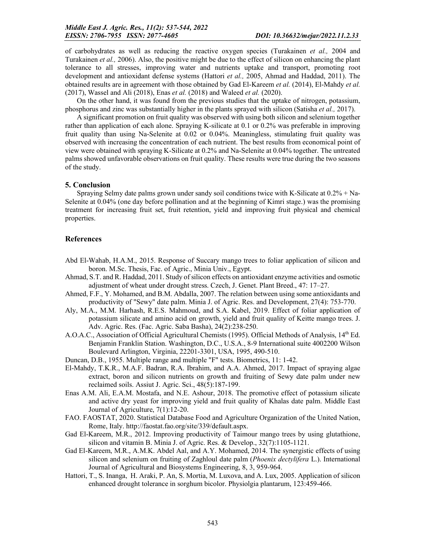of carbohydrates as well as reducing the reactive oxygen species (Turakainen *et al.,* 2004 and Turakainen *et al.,* 2006). Also, the positive might be due to the effect of silicon on enhancing the plant tolerance to all stresses, improving water and nutrients uptake and transport, promoting root development and antioxidant defense systems (Hattori *et al.,* 2005, Ahmad and Haddad, 2011). The obtained results are in agreement with those obtained by Gad El-Kareem *et al.* (2014), El-Mahdy *et al.* (2017), Wassel and Ali (2018), Enas *et al.* (2018) and Waleed *et al.* (2020).

On the other hand, it was found from the previous studies that the uptake of nitrogen, potassium, phosphorus and zinc was substantially higher in the plants sprayed with silicon (Satisha *et al.,* 2017).

A significant promotion on fruit quality was observed with using both silicon and selenium together rather than application of each alone. Spraying K-silicate at 0.1 or 0.2% was preferable in improving fruit quality than using Na-Selenite at 0.02 or 0.04%. Meaningless, stimulating fruit quality was observed with increasing the concentration of each nutrient. The best results from economical point of view were obtained with spraying K-Silicate at 0.2% and Na-Selenite at 0.04% together. The untreated palms showed unfavorable observations on fruit quality. These results were true during the two seasons of the study.

#### 5. Conclusion

Spraying Selmy date palms grown under sandy soil conditions twice with K-Silicate at 0.2% + Na-Selenite at 0.04% (one day before pollination and at the beginning of Kimri stage.) was the promising treatment for increasing fruit set, fruit retention, yield and improving fruit physical and chemical properties.

#### References

- Abd El-Wahab, H.A.M., 2015. Response of Succary mango trees to foliar application of silicon and boron. M.Sc. Thesis, Fac. of Agric., Minia Univ., Egypt.
- Ahmad, S.T. and R. Haddad, 2011. Study of silicon effects on antioxidant enzyme activities and osmotic adjustment of wheat under drought stress. Czech, J. Genet. Plant Breed., 47: 17–27.
- Ahmed, F.F., Y. Mohamed, and B.M. Abdalla, 2007. The relation between using some antioxidants and productivity of "Sewy" date palm. Minia J. of Agric. Res. and Development, 27(4): 753-770.
- Aly, M.A., M.M. Harhash, R.E.S. Mahmoud, and S.A. Kabel, 2019. Effect of foliar application of potassium silicate and amino acid on growth, yield and fruit quality of Keitte mango trees. J. Adv. Agric. Res. (Fac. Agric. Saba Basha), 24(2):238-250.
- A.O.A.C., Association of Official Agricultural Chemists (1995). Official Methods of Analysis,  $14^{\text{th}}$  Ed. Benjamin Franklin Station. Washington, D.C., U.S.A., 8-9 International suite 4002200 Wilson Boulevard Arlington, Virginia, 22201-3301, USA, 1995, 490-510.
- Duncan, D.B., 1955. Multiple range and multiple "F" tests. Biometrics, 11: 1-42.
- El-Mahdy, T.K.R., M.A.F. Badran, R.A. Ibrahim, and A.A. Ahmed, 2017. Impact of spraying algae extract, boron and silicon nutrients on growth and fruiting of Sewy date palm under new reclaimed soils. Assiut J. Agric. Sci., 48(5):187-199.
- Enas A.M. Ali, E.A.M. Mostafa, and N.E. Ashour, 2018. The promotive effect of potassium silicate and active dry yeast for improving yield and fruit quality of Khalas date palm. Middle East Journal of Agriculture, 7(1):12-20.
- FAO. FAOSTAT, 2020. Statistical Database Food and Agriculture Organization of the United Nation, Rome, Italy. http://faostat.fao.org/site/339/default.aspx.
- Gad El-Kareem, M.R., 2012. Improving productivity of Taimour mango trees by using glutathione, silicon and vitamin B. Minia J. of Agric. Res. & Develop., 32(7):1105-1121.
- Gad El-Kareem, M.R., A.M.K. Abdel Aal, and A.Y. Mohamed, 2014. The synergistic effects of using silicon and selenium on fruiting of Zaghloul date palm (*Phoenix dectylifera* L.). International Journal of Agricultural and Biosystems Engineering, 8, 3, 959-964.
- Hattori, T., S. Inanga, H. Araki, P. An, S. Mortia, M. Luxova, and A. Lux, 2005. Application of silicon enhanced drought tolerance in sorghum bicolor. Physiolgia plantarum, 123:459-466.